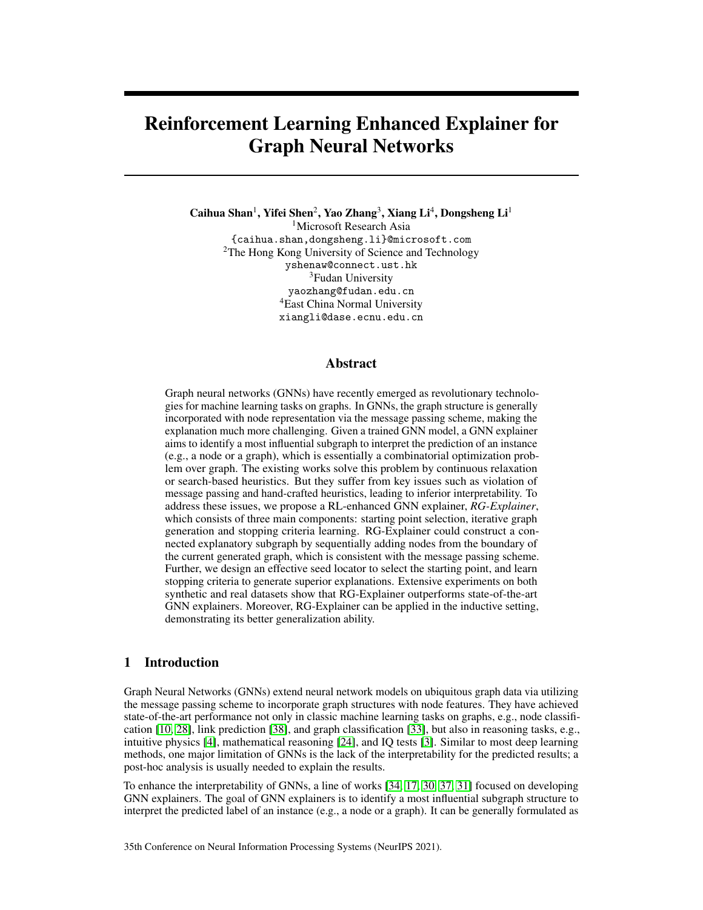# Reinforcement Learning Enhanced Explainer for Graph Neural Networks

Caihua Shan<sup>1</sup>, Yifei Shen<sup>2</sup>, Yao Zhang<sup>3</sup>, Xiang Li<sup>4</sup>, Dongsheng Li<sup>1</sup> <sup>1</sup>Microsoft Research Asia {caihua.shan,dongsheng.li}@microsoft.com <sup>2</sup>The Hong Kong University of Science and Technology yshenaw@connect.ust.hk <sup>3</sup>Fudan University yaozhang@fudan.edu.cn <sup>4</sup>East China Normal University xiangli@dase.ecnu.edu.cn

#### Abstract

Graph neural networks (GNNs) have recently emerged as revolutionary technologies for machine learning tasks on graphs. In GNNs, the graph structure is generally incorporated with node representation via the message passing scheme, making the explanation much more challenging. Given a trained GNN model, a GNN explainer aims to identify a most influential subgraph to interpret the prediction of an instance (e.g., a node or a graph), which is essentially a combinatorial optimization problem over graph. The existing works solve this problem by continuous relaxation or search-based heuristics. But they suffer from key issues such as violation of message passing and hand-crafted heuristics, leading to inferior interpretability. To address these issues, we propose a RL-enhanced GNN explainer, *RG-Explainer*, which consists of three main components: starting point selection, iterative graph generation and stopping criteria learning. RG-Explainer could construct a connected explanatory subgraph by sequentially adding nodes from the boundary of the current generated graph, which is consistent with the message passing scheme. Further, we design an effective seed locator to select the starting point, and learn stopping criteria to generate superior explanations. Extensive experiments on both synthetic and real datasets show that RG-Explainer outperforms state-of-the-art GNN explainers. Moreover, RG-Explainer can be applied in the inductive setting, demonstrating its better generalization ability.

# 1 Introduction

Graph Neural Networks (GNNs) extend neural network models on ubiquitous graph data via utilizing the message passing scheme to incorporate graph structures with node features. They have achieved state-of-the-art performance not only in classic machine learning tasks on graphs, e.g., node classification [\[10,](#page-9-0) [28\]](#page-10-0), link prediction [\[38\]](#page-10-1), and graph classification [\[33\]](#page-10-2), but also in reasoning tasks, e.g., intuitive physics [\[4\]](#page-9-1), mathematical reasoning [\[24\]](#page-10-3), and IQ tests [\[3\]](#page-9-2). Similar to most deep learning methods, one major limitation of GNNs is the lack of the interpretability for the predicted results; a post-hoc analysis is usually needed to explain the results.

To enhance the interpretability of GNNs, a line of works [\[34,](#page-10-4) [17,](#page-9-3) [30,](#page-10-5) [37,](#page-10-6) [31\]](#page-10-7) focused on developing GNN explainers. The goal of GNN explainers is to identify a most influential subgraph structure to interpret the predicted label of an instance (e.g., a node or a graph). It can be generally formulated as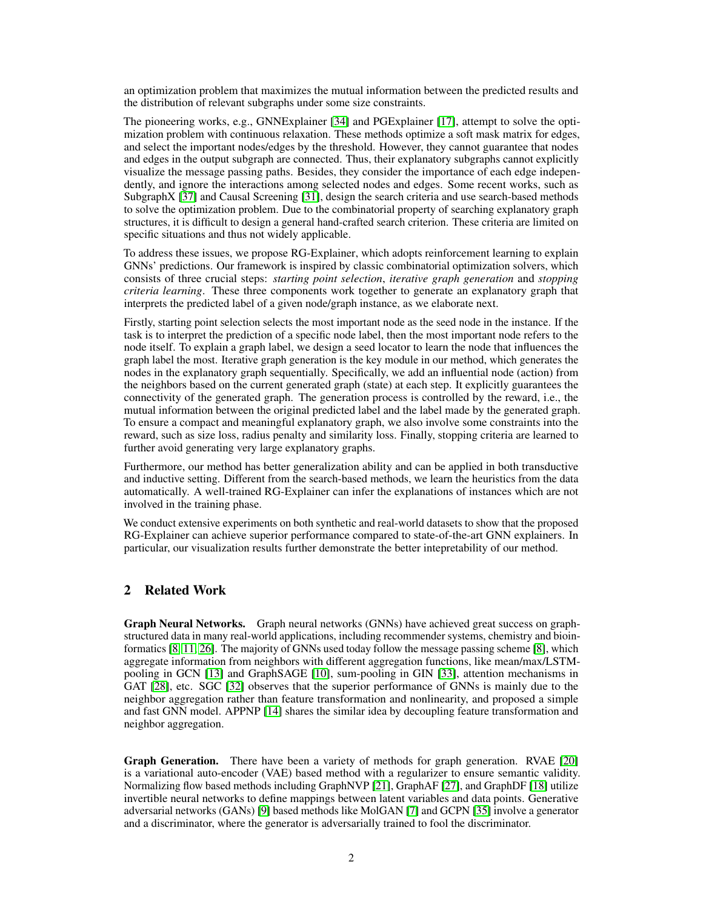an optimization problem that maximizes the mutual information between the predicted results and the distribution of relevant subgraphs under some size constraints.

The pioneering works, e.g., GNNExplainer [\[34\]](#page-10-4) and PGExplainer [\[17\]](#page-9-3), attempt to solve the optimization problem with continuous relaxation. These methods optimize a soft mask matrix for edges, and select the important nodes/edges by the threshold. However, they cannot guarantee that nodes and edges in the output subgraph are connected. Thus, their explanatory subgraphs cannot explicitly visualize the message passing paths. Besides, they consider the importance of each edge independently, and ignore the interactions among selected nodes and edges. Some recent works, such as SubgraphX [\[37\]](#page-10-6) and Causal Screening [\[31\]](#page-10-7), design the search criteria and use search-based methods to solve the optimization problem. Due to the combinatorial property of searching explanatory graph structures, it is difficult to design a general hand-crafted search criterion. These criteria are limited on specific situations and thus not widely applicable.

To address these issues, we propose RG-Explainer, which adopts reinforcement learning to explain GNNs' predictions. Our framework is inspired by classic combinatorial optimization solvers, which consists of three crucial steps: *starting point selection*, *iterative graph generation* and *stopping criteria learning*. These three components work together to generate an explanatory graph that interprets the predicted label of a given node/graph instance, as we elaborate next.

Firstly, starting point selection selects the most important node as the seed node in the instance. If the task is to interpret the prediction of a specific node label, then the most important node refers to the node itself. To explain a graph label, we design a seed locator to learn the node that influences the graph label the most. Iterative graph generation is the key module in our method, which generates the nodes in the explanatory graph sequentially. Specifically, we add an influential node (action) from the neighbors based on the current generated graph (state) at each step. It explicitly guarantees the connectivity of the generated graph. The generation process is controlled by the reward, i.e., the mutual information between the original predicted label and the label made by the generated graph. To ensure a compact and meaningful explanatory graph, we also involve some constraints into the reward, such as size loss, radius penalty and similarity loss. Finally, stopping criteria are learned to further avoid generating very large explanatory graphs.

Furthermore, our method has better generalization ability and can be applied in both transductive and inductive setting. Different from the search-based methods, we learn the heuristics from the data automatically. A well-trained RG-Explainer can infer the explanations of instances which are not involved in the training phase.

We conduct extensive experiments on both synthetic and real-world datasets to show that the proposed RG-Explainer can achieve superior performance compared to state-of-the-art GNN explainers. In particular, our visualization results further demonstrate the better intepretability of our method.

# 2 Related Work

Graph Neural Networks. Graph neural networks (GNNs) have achieved great success on graphstructured data in many real-world applications, including recommender systems, chemistry and bioinformatics [\[8,](#page-9-4) [11,](#page-9-5) [26\]](#page-10-8). The majority of GNNs used today follow the message passing scheme [\[8\]](#page-9-4), which aggregate information from neighbors with different aggregation functions, like mean/max/LSTMpooling in GCN [\[13\]](#page-9-6) and GraphSAGE [\[10\]](#page-9-0), sum-pooling in GIN [\[33\]](#page-10-2), attention mechanisms in GAT [\[28\]](#page-10-0), etc. SGC [\[32\]](#page-10-9) observes that the superior performance of GNNs is mainly due to the neighbor aggregation rather than feature transformation and nonlinearity, and proposed a simple and fast GNN model. APPNP [\[14\]](#page-9-7) shares the similar idea by decoupling feature transformation and neighbor aggregation.

Graph Generation. There have been a variety of methods for graph generation. RVAE [\[20\]](#page-10-10) is a variational auto-encoder (VAE) based method with a regularizer to ensure semantic validity. Normalizing flow based methods including GraphNVP [\[21\]](#page-10-11), GraphAF [\[27\]](#page-10-12), and GraphDF [\[18\]](#page-10-13) utilize invertible neural networks to define mappings between latent variables and data points. Generative adversarial networks (GANs) [\[9\]](#page-9-8) based methods like MolGAN [\[7\]](#page-9-9) and GCPN [\[35\]](#page-10-14) involve a generator and a discriminator, where the generator is adversarially trained to fool the discriminator.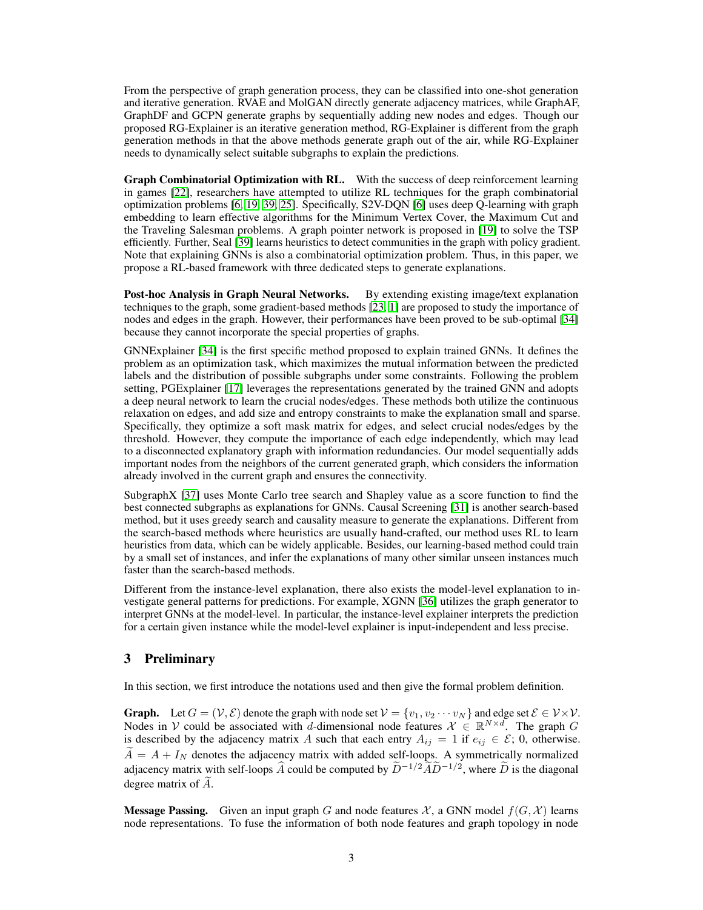From the perspective of graph generation process, they can be classified into one-shot generation and iterative generation. RVAE and MolGAN directly generate adjacency matrices, while GraphAF, GraphDF and GCPN generate graphs by sequentially adding new nodes and edges. Though our proposed RG-Explainer is an iterative generation method, RG-Explainer is different from the graph generation methods in that the above methods generate graph out of the air, while RG-Explainer needs to dynamically select suitable subgraphs to explain the predictions.

Graph Combinatorial Optimization with RL. With the success of deep reinforcement learning in games [\[22\]](#page-10-15), researchers have attempted to utilize RL techniques for the graph combinatorial optimization problems [\[6,](#page-9-10) [19,](#page-10-16) [39,](#page-10-17) [25\]](#page-10-18). Specifically, S2V-DQN [\[6\]](#page-9-10) uses deep Q-learning with graph embedding to learn effective algorithms for the Minimum Vertex Cover, the Maximum Cut and the Traveling Salesman problems. A graph pointer network is proposed in [\[19\]](#page-10-16) to solve the TSP efficiently. Further, Seal [\[39\]](#page-10-17) learns heuristics to detect communities in the graph with policy gradient. Note that explaining GNNs is also a combinatorial optimization problem. Thus, in this paper, we propose a RL-based framework with three dedicated steps to generate explanations.

Post-hoc Analysis in Graph Neural Networks. By extending existing image/text explanation techniques to the graph, some gradient-based methods [\[23,](#page-10-19) [1\]](#page-9-11) are proposed to study the importance of nodes and edges in the graph. However, their performances have been proved to be sub-optimal [\[34\]](#page-10-4) because they cannot incorporate the special properties of graphs.

GNNExplainer [\[34\]](#page-10-4) is the first specific method proposed to explain trained GNNs. It defines the problem as an optimization task, which maximizes the mutual information between the predicted labels and the distribution of possible subgraphs under some constraints. Following the problem setting, PGExplainer [\[17\]](#page-9-3) leverages the representations generated by the trained GNN and adopts a deep neural network to learn the crucial nodes/edges. These methods both utilize the continuous relaxation on edges, and add size and entropy constraints to make the explanation small and sparse. Specifically, they optimize a soft mask matrix for edges, and select crucial nodes/edges by the threshold. However, they compute the importance of each edge independently, which may lead to a disconnected explanatory graph with information redundancies. Our model sequentially adds important nodes from the neighbors of the current generated graph, which considers the information already involved in the current graph and ensures the connectivity.

SubgraphX [\[37\]](#page-10-6) uses Monte Carlo tree search and Shapley value as a score function to find the best connected subgraphs as explanations for GNNs. Causal Screening [\[31\]](#page-10-7) is another search-based method, but it uses greedy search and causality measure to generate the explanations. Different from the search-based methods where heuristics are usually hand-crafted, our method uses RL to learn heuristics from data, which can be widely applicable. Besides, our learning-based method could train by a small set of instances, and infer the explanations of many other similar unseen instances much faster than the search-based methods.

Different from the instance-level explanation, there also exists the model-level explanation to investigate general patterns for predictions. For example, XGNN [\[36\]](#page-10-20) utilizes the graph generator to interpret GNNs at the model-level. In particular, the instance-level explainer interprets the prediction for a certain given instance while the model-level explainer is input-independent and less precise.

# 3 Preliminary

In this section, we first introduce the notations used and then give the formal problem definition.

**Graph.** Let  $G = (\mathcal{V}, \mathcal{E})$  denote the graph with node set  $\mathcal{V} = \{v_1, v_2 \cdots v_N\}$  and edge set  $\mathcal{E} \in \mathcal{V} \times \mathcal{V}$ . Nodes in V could be associated with d-dimensional node features  $\mathcal{X} \in \mathbb{R}^{N \times d}$ . The graph G is described by the adjacency matrix A such that each entry  $A_{ij} = 1$  if  $e_{ij} \in \mathcal{E}$ ; 0, otherwise.  $\ddot{A} = A + I_N$  denotes the adjacency matrix with added self-loops. A symmetrically normalized adjacency matrix with self-loops  $\widehat{A}$  could be computed by  $\widehat{D}^{-1/2}\widetilde{A}\widetilde{D}^{-1/2}$ , where  $\widehat{D}$  is the diagonal degree matrix of  $A$ .

**Message Passing.** Given an input graph G and node features  $\mathcal{X}$ , a GNN model  $f(G, \mathcal{X})$  learns node representations. To fuse the information of both node features and graph topology in node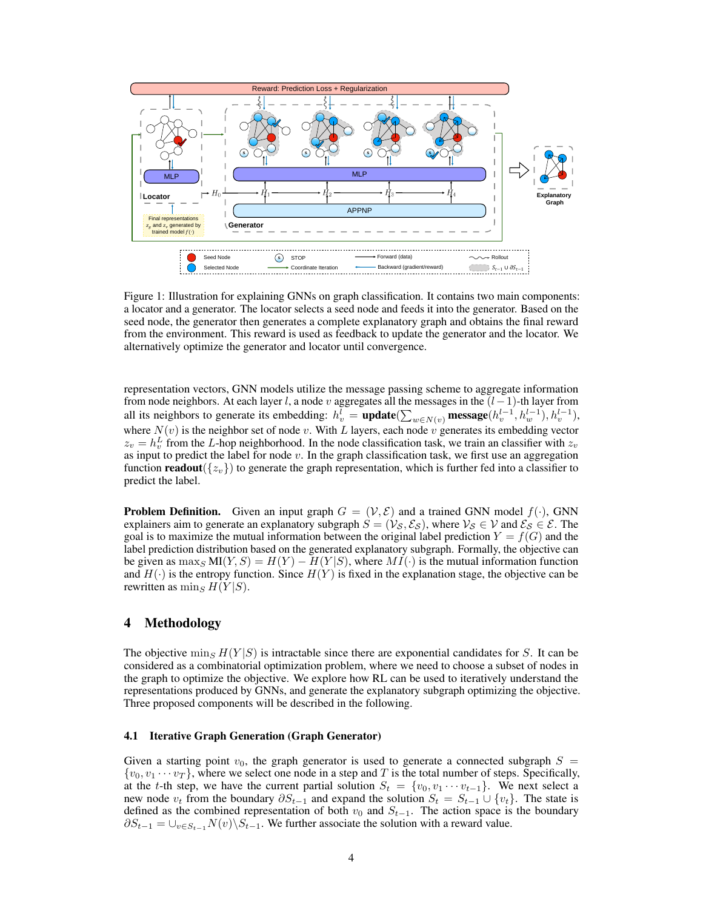

Figure 1: Illustration for explaining GNNs on graph classification. It contains two main components: a locator and a generator. The locator selects a seed node and feeds it into the generator. Based on the seed node, the generator then generates a complete explanatory graph and obtains the final reward from the environment. This reward is used as feedback to update the generator and the locator. We alternatively optimize the generator and locator until convergence.

representation vectors, GNN models utilize the message passing scheme to aggregate information from node neighbors. At each layer l, a node v aggregates all the messages in the  $(l-1)$ -th layer from all its neighbors to generate its embedding:  $h_v^l = \text{update}(\sum_{w \in N(v)} \text{message}(h_v^{l-1}, h_w^{l-1}), h_v^{l-1}),$ where  $N(v)$  is the neighbor set of node v. With L layers, each node v generates its embedding vector  $z_v = h_v^L$  from the L-hop neighborhood. In the node classification task, we train an classifier with  $z_v$ as input to predict the label for node  $v$ . In the graph classification task, we first use an aggregation function **readout** $({z_v})$  to generate the graph representation, which is further fed into a classifier to predict the label.

**Problem Definition.** Given an input graph  $G = (\mathcal{V}, \mathcal{E})$  and a trained GNN model  $f(\cdot)$ , GNN explainers aim to generate an explanatory subgraph  $S = (\mathcal{V}_S, \mathcal{E}_S)$ , where  $\mathcal{V}_S \in \mathcal{V}$  and  $\mathcal{E}_S \in \mathcal{E}$ . The goal is to maximize the mutual information between the original label prediction  $Y = f(G)$  and the label prediction distribution based on the generated explanatory subgraph. Formally, the objective can be given as  $\max_S MI(Y, S) = H(Y) - H(Y|S)$ , where  $MI(\cdot)$  is the mutual information function and  $H(\cdot)$  is the entropy function. Since  $H(Y)$  is fixed in the explanation stage, the objective can be rewritten as  $\min_{S} H(Y|S)$ .

## 4 Methodology

The objective  $\min_S H(Y|S)$  is intractable since there are exponential candidates for S. It can be considered as a combinatorial optimization problem, where we need to choose a subset of nodes in the graph to optimize the objective. We explore how RL can be used to iteratively understand the representations produced by GNNs, and generate the explanatory subgraph optimizing the objective. Three proposed components will be described in the following.

#### <span id="page-3-0"></span>4.1 Iterative Graph Generation (Graph Generator)

Given a starting point  $v_0$ , the graph generator is used to generate a connected subgraph  $S =$  $\{v_0, v_1 \cdots v_T\}$ , where we select one node in a step and T is the total number of steps. Specifically, at the t-th step, we have the current partial solution  $S_t = \{v_0, v_1 \cdots v_{t-1}\}$ . We next select a new node  $v_t$  from the boundary  $\partial S_{t-1}$  and expand the solution  $S_t = S_{t-1} \cup \{v_t\}$ . The state is defined as the combined representation of both  $v_0$  and  $S_{t-1}$ . The action space is the boundary  $\partial S_{t-1} = \bigcup_{v \in S_{t-1}} N(v) \setminus S_{t-1}$ . We further associate the solution with a reward value.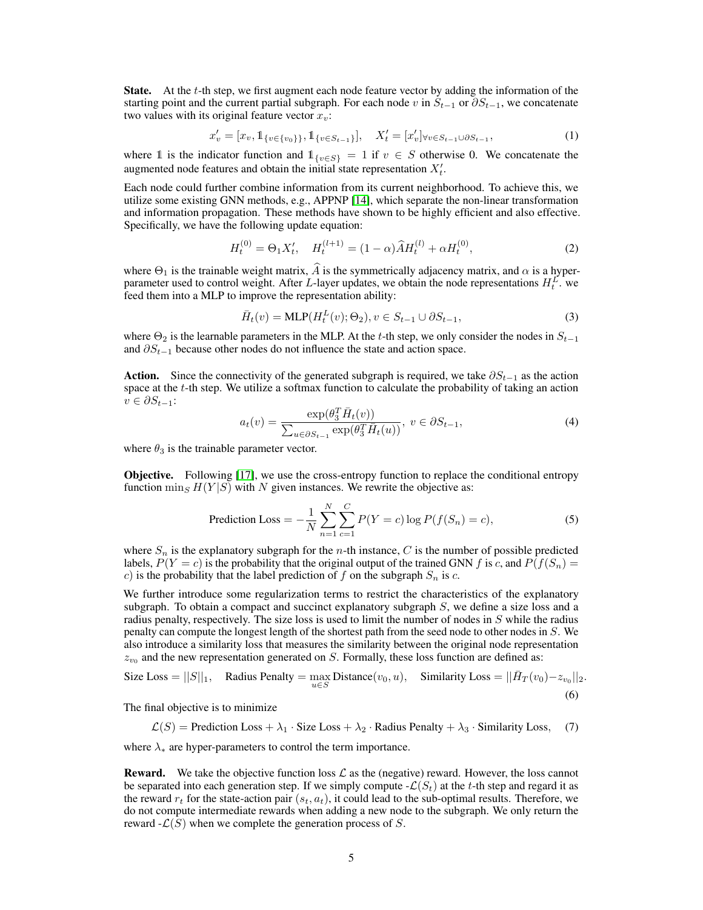**State.** At the  $t$ -th step, we first augment each node feature vector by adding the information of the starting point and the current partial subgraph. For each node v in  $S_{t-1}$  or  $\partial S_{t-1}$ , we concatenate two values with its original feature vector  $x_v$ :

$$
x'_{v} = [x_{v}, 1_{\{v \in \{v_{0}\}\}}, 1_{\{v \in S_{t-1}\}}], \quad X'_{t} = [x'_{v}]_{\forall v \in S_{t-1} \cup \partial S_{t-1}}, \tag{1}
$$

where 1 is the indicator function and  $1_{\{v \in S\}} = 1$  if  $v \in S$  otherwise 0. We concatenate the augmented node features and obtain the initial state representation  $X_t'$ .

Each node could further combine information from its current neighborhood. To achieve this, we utilize some existing GNN methods, e.g., APPNP [\[14\]](#page-9-7), which separate the non-linear transformation and information propagation. These methods have shown to be highly efficient and also effective. Specifically, we have the following update equation:

$$
H_t^{(0)} = \Theta_1 X_t', \quad H_t^{(l+1)} = (1 - \alpha) \hat{A} H_t^{(l)} + \alpha H_t^{(0)}, \tag{2}
$$

where  $\Theta_1$  is the trainable weight matrix, A is the symmetrically adjacency matrix, and  $\alpha$  is a hyperparameter used to control weight. After L-layer updates, we obtain the node representations  $H_t^L$ . we feed them into a MLP to improve the representation ability:

$$
\bar{H}_t(v) = \text{MLP}(H_t^L(v); \Theta_2), v \in S_{t-1} \cup \partial S_{t-1},
$$
\n(3)

where  $\Theta_2$  is the learnable parameters in the MLP. At the t-th step, we only consider the nodes in  $S_{t-1}$ and  $\partial S_{t-1}$  because other nodes do not influence the state and action space.

<span id="page-4-0"></span>**Action.** Since the connectivity of the generated subgraph is required, we take  $\partial S_{t-1}$  as the action space at the t-th step. We utilize a softmax function to calculate the probability of taking an action  $v \in \partial S_{t-1}$ :

<span id="page-4-1"></span>
$$
a_t(v) = \frac{\exp(\theta_3^T \bar{H}_t(v))}{\sum_{u \in \partial S_{t-1}} \exp(\theta_3^T \bar{H}_t(u))}, \ v \in \partial S_{t-1},\tag{4}
$$

where  $\theta_3$  is the trainable parameter vector.

**Objective.** Following [\[17\]](#page-9-3), we use the cross-entropy function to replace the conditional entropy function  $\min_{S} H(Y|S)$  with N given instances. We rewrite the objective as:

<span id="page-4-2"></span>
$$
\text{ Prediction Loss} = -\frac{1}{N} \sum_{n=1}^{N} \sum_{c=1}^{C} P(Y = c) \log P(f(S_n) = c),\tag{5}
$$

where  $S_n$  is the explanatory subgraph for the *n*-th instance, C is the number of possible predicted labels,  $P(Y = c)$  is the probability that the original output of the trained GNN f is c, and  $P(f(S_n) =$ c) is the probability that the label prediction of f on the subgraph  $S_n$  is c.

We further introduce some regularization terms to restrict the characteristics of the explanatory subgraph. To obtain a compact and succinct explanatory subgraph  $S$ , we define a size loss and a radius penalty, respectively. The size loss is used to limit the number of nodes in  $S$  while the radius penalty can compute the longest length of the shortest path from the seed node to other nodes in S. We also introduce a similarity loss that measures the similarity between the original node representation  $z_{v_0}$  and the new representation generated on S. Formally, these loss function are defined as:

Size Loss = 
$$
||S||_1
$$
, Radius Penalty =  $\max_{u \in S}$  Distance $(v_0, u)$ , Similarity Loss =  $||\bar{H}_T(v_0) - z_{v_0}||_2$ . (6)

The final objective is to minimize

 $\mathcal{L}(S)$  = Prediction Loss +  $\lambda_1 \cdot$  Size Loss +  $\lambda_2 \cdot$  Radius Penalty +  $\lambda_3 \cdot$  Similarity Loss, (7)

where  $\lambda_*$  are hyper-parameters to control the term importance.

**Reward.** We take the objective function loss  $\mathcal{L}$  as the (negative) reward. However, the loss cannot be separated into each generation step. If we simply compute  $\mathcal{L}(S_t)$  at the t-th step and regard it as the reward  $r_t$  for the state-action pair  $(s_t, a_t)$ , it could lead to the sub-optimal results. Therefore, we do not compute intermediate rewards when adding a new node to the subgraph. We only return the reward  $-\mathcal{L}(S)$  when we complete the generation process of S.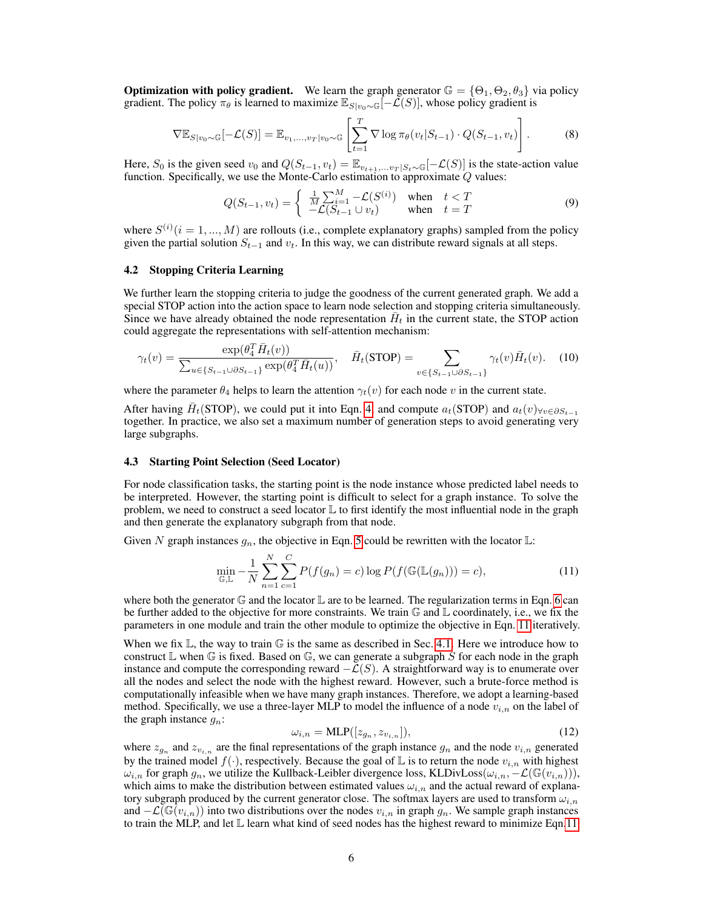**Optimization with policy gradient.** We learn the graph generator  $\mathbb{G} = {\Theta_1, \Theta_2, \theta_3}$  via policy gradient. The policy  $\pi_{\theta}$  is learned to maximize  $\mathbb{E}_{S|v_0\sim \mathbb{G}}[-\mathcal{L}(S)]$ , whose policy gradient is

$$
\nabla \mathbb{E}_{S|v_0 \sim \mathbb{G}}[-\mathcal{L}(S)] = \mathbb{E}_{v_1, \dots, v_T|v_0 \sim \mathbb{G}}\left[\sum_{t=1}^T \nabla \log \pi_\theta(v_t|S_{t-1}) \cdot Q(S_{t-1}, v_t)\right].
$$
\n(8)

Here,  $S_0$  is the given seed  $v_0$  and  $Q(S_{t-1}, v_t) = \mathbb{E}_{v_{t+1},...,v_T|S_t \sim \mathbb{G}}[-\mathcal{L}(S)]$  is the state-action value function. Specifically, we use the Monte-Carlo estimation to approximate  $Q$  values:

$$
Q(S_{t-1}, v_t) = \begin{cases} \frac{1}{M} \sum_{i=1}^{M} -\mathcal{L}(S^{(i)}) & \text{when } t < T \\ -\mathcal{L}(S_{t-1} \cup v_t) & \text{when } t = T \end{cases}
$$
(9)

where  $S^{(i)}$  ( $i = 1, ..., M$ ) are rollouts (i.e., complete explanatory graphs) sampled from the policy given the partial solution  $S_{t-1}$  and  $v_t$ . In this way, we can distribute reward signals at all steps.

#### 4.2 Stopping Criteria Learning

We further learn the stopping criteria to judge the goodness of the current generated graph. We add a special STOP action into the action space to learn node selection and stopping criteria simultaneously. Since we have already obtained the node representation  $\bar{H}_t$  in the current state, the STOP action could aggregate the representations with self-attention mechanism:

$$
\gamma_t(v) = \frac{\exp(\theta_4^T \bar{H}_t(v))}{\sum_{u \in \{S_{t-1} \cup \partial S_{t-1}\}} \exp(\theta_4^T \bar{H}_t(u))}, \quad \bar{H}_t(\text{STOP}) = \sum_{v \in \{S_{t-1} \cup \partial S_{t-1}\}} \gamma_t(v) \bar{H}_t(v). \tag{10}
$$

where the parameter  $\theta_4$  helps to learn the attention  $\gamma_t(v)$  for each node v in the current state.

After having  $\bar{H}_t(\text{STOP})$ , we could put it into Eqn. [4,](#page-4-0) and compute  $a_t(\text{STOP})$  and  $a_t(v)_{\forall v \in \partial S_{t-1}}$ together. In practice, we also set a maximum number of generation steps to avoid generating very large subgraphs.

#### 4.3 Starting Point Selection (Seed Locator)

For node classification tasks, the starting point is the node instance whose predicted label needs to be interpreted. However, the starting point is difficult to select for a graph instance. To solve the problem, we need to construct a seed locator  $\mathbb L$  to first identify the most influential node in the graph and then generate the explanatory subgraph from that node.

Given N graph instances  $g_n$ , the objective in Eqn. [5](#page-4-1) could be rewritten with the locator  $\mathbb{L}$ :

$$
\min_{\mathbb{G}, \mathbb{L}} -\frac{1}{N} \sum_{n=1}^{N} \sum_{c=1}^{C} P(f(g_n) = c) \log P(f(\mathbb{G}(\mathbb{L}(g_n))) = c), \tag{11}
$$

where both the generator  $\mathbb G$  and the locator  $\mathbb L$  are to be learned. The regularization terms in Eqn. [6](#page-4-2) can be further added to the objective for more constraints. We train  $\mathbb G$  and  $\mathbb L$  coordinately, i.e., we fix the parameters in one module and train the other module to optimize the objective in Eqn. [11](#page-5-0) iteratively.

When we fix  $\mathbb{L}$ , the way to train  $\mathbb{G}$  is the same as described in Sec. [4.1.](#page-3-0) Here we introduce how to construct  $\mathbb L$  when  $\mathbb G$  is fixed. Based on  $\mathbb G$ , we can generate a subgraph S for each node in the graph instance and compute the corresponding reward  $-\mathcal{L}(S)$ . A straightforward way is to enumerate over all the nodes and select the node with the highest reward. However, such a brute-force method is computationally infeasible when we have many graph instances. Therefore, we adopt a learning-based method. Specifically, we use a three-layer MLP to model the influence of a node  $v_{i,n}$  on the label of the graph instance  $g_n$ :

<span id="page-5-0"></span>
$$
\omega_{i,n} = \text{MLP}([z_{g_n}, z_{v_{i,n}}]),\tag{12}
$$

where  $z_{g_n}$  and  $z_{v_{i,n}}$  are the final representations of the graph instance  $g_n$  and the node  $v_{i,n}$  generated by the trained model  $f(\cdot)$ , respectively. Because the goal of L is to return the node  $v_{i,n}$  with highest  $\omega_{i,n}$  for graph  $g_n$ , we utilize the Kullback-Leibler divergence loss, KLDivLoss( $\omega_{i,n}, -\mathcal{L}(\mathbb{G}(v_{i,n}))),$ which aims to make the distribution between estimated values  $\omega_{i,n}$  and the actual reward of explanatory subgraph produced by the current generator close. The softmax layers are used to transform  $\omega_{i,n}$ and  $-\mathcal{L}(\mathbb{G}(v_{i,n}))$  into two distributions over the nodes  $v_{i,n}$  in graph  $q_n$ . We sample graph instances to train the MLP, and let L learn what kind of seed nodes has the highest reward to minimize Eqn[.11.](#page-5-0)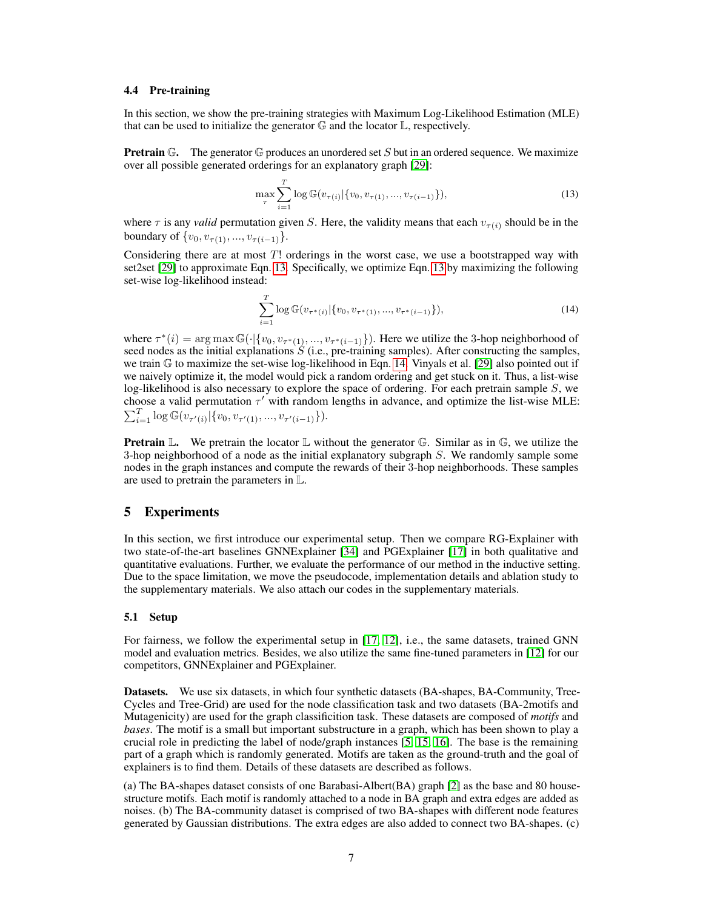#### 4.4 Pre-training

In this section, we show the pre-training strategies with Maximum Log-Likelihood Estimation (MLE) that can be used to initialize the generator  $\mathbb G$  and the locator  $\mathbb L$ , respectively.

**Pretrain**  $\mathbb{G}$ . The generator  $\mathbb{G}$  produces an unordered set S but in an ordered sequence. We maximize over all possible generated orderings for an explanatory graph [\[29\]](#page-10-21):

<span id="page-6-0"></span>
$$
\max_{\tau} \sum_{i=1}^{T} \log \mathbb{G}(v_{\tau(i)} | \{v_0, v_{\tau(1)}, ..., v_{\tau(i-1)}\}),
$$
\n(13)

where  $\tau$  is any *valid* permutation given S. Here, the validity means that each  $v_{\tau(i)}$  should be in the boundary of  $\{v_0, v_{\tau(1)}, ..., v_{\tau(i-1)}\}.$ 

Considering there are at most  $T!$  orderings in the worst case, we use a bootstrapped way with set2set [\[29\]](#page-10-21) to approximate Eqn. [13.](#page-6-0) Specifically, we optimize Eqn. [13](#page-6-0) by maximizing the following set-wise log-likelihood instead:

<span id="page-6-1"></span>
$$
\sum_{i=1}^{T} \log \mathbb{G}(v_{\tau^*(i)} | \{v_0, v_{\tau^*(1)}, ..., v_{\tau^*(i-1)}\}),
$$
\n(14)

where  $\tau^*(i) = \arg \max \mathbb{G}(\cdot | \{v_0, v_{\tau^*(1)}, ..., v_{\tau^*(i-1)}\})$ . Here we utilize the 3-hop neighborhood of seed nodes as the initial explanations  $S$  (i.e., pre-training samples). After constructing the samples, we train  $\mathbb G$  to maximize the set-wise log-likelihood in Eqn. [14.](#page-6-1) Vinyals et al. [\[29\]](#page-10-21) also pointed out if we naively optimize it, the model would pick a random ordering and get stuck on it. Thus, a list-wise log-likelihood is also necessary to explore the space of ordering. For each pretrain sample S, we choose a valid permutation  $\tau'$  with random lengths in advance, and optimize the list-wise MLE:  $\sum_{i=1}^T \log \mathbb{G}(v_{\tau'(i)}|\{v_0, v_{\tau'(1)}, ..., v_{\tau'(i-1)}\}).$ 

**Pretrain**  $\mathbb{L}$ . We pretrain the locator  $\mathbb{L}$  without the generator  $\mathbb{G}$ . Similar as in  $\mathbb{G}$ , we utilize the 3-hop neighborhood of a node as the initial explanatory subgraph S. We randomly sample some nodes in the graph instances and compute the rewards of their 3-hop neighborhoods. These samples are used to pretrain the parameters in L.

## 5 Experiments

In this section, we first introduce our experimental setup. Then we compare RG-Explainer with two state-of-the-art baselines GNNExplainer [\[34\]](#page-10-4) and PGExplainer [\[17\]](#page-9-3) in both qualitative and quantitative evaluations. Further, we evaluate the performance of our method in the inductive setting. Due to the space limitation, we move the pseudocode, implementation details and ablation study to the supplementary materials. We also attach our codes in the supplementary materials.

#### 5.1 Setup

For fairness, we follow the experimental setup in [\[17,](#page-9-3) [12\]](#page-9-12), i.e., the same datasets, trained GNN model and evaluation metrics. Besides, we also utilize the same fine-tuned parameters in [\[12\]](#page-9-12) for our competitors, GNNExplainer and PGExplainer.

Datasets. We use six datasets, in which four synthetic datasets (BA-shapes, BA-Community, Tree-Cycles and Tree-Grid) are used for the node classification task and two datasets (BA-2motifs and Mutagenicity) are used for the graph classificition task. These datasets are composed of *motifs* and *bases*. The motif is a small but important substructure in a graph, which has been shown to play a crucial role in predicting the label of node/graph instances [\[5,](#page-9-13) [15,](#page-9-14) [16\]](#page-9-15). The base is the remaining part of a graph which is randomly generated. Motifs are taken as the ground-truth and the goal of explainers is to find them. Details of these datasets are described as follows.

(a) The BA-shapes dataset consists of one Barabasi-Albert(BA) graph [\[2\]](#page-9-16) as the base and 80 housestructure motifs. Each motif is randomly attached to a node in BA graph and extra edges are added as noises. (b) The BA-community dataset is comprised of two BA-shapes with different node features generated by Gaussian distributions. The extra edges are also added to connect two BA-shapes. (c)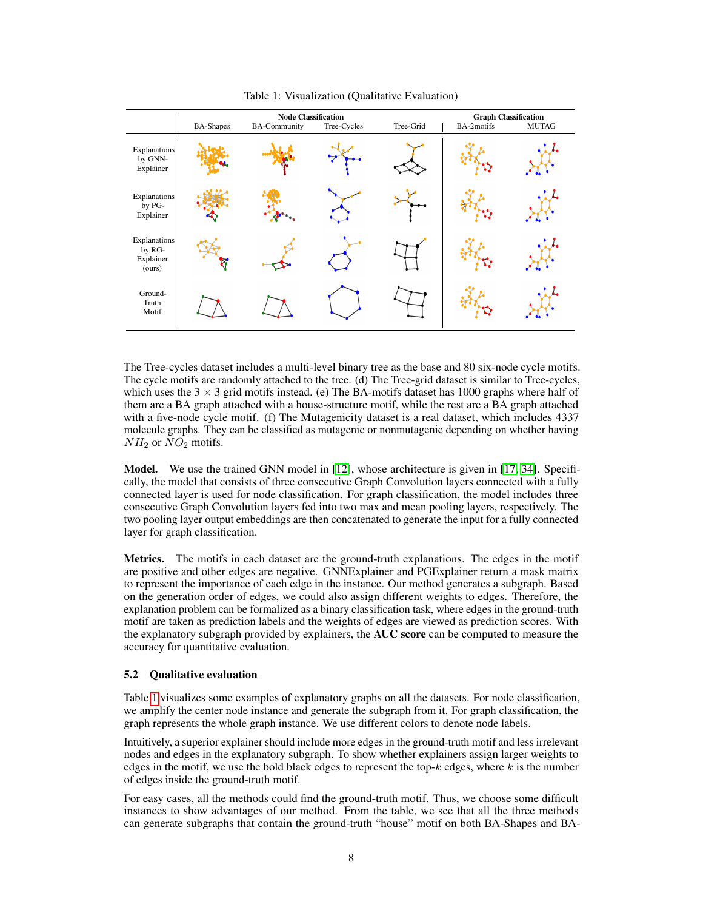<span id="page-7-0"></span>

|                                               | <b>BA-Shapes</b> | <b>Node Classification</b><br><b>BA-Community</b> | <b>Graph Classification</b><br>BA-2motifs<br><b>MUTAG</b> |  |  |
|-----------------------------------------------|------------------|---------------------------------------------------|-----------------------------------------------------------|--|--|
| Explanations<br>by GNN-<br>Explainer          |                  |                                                   |                                                           |  |  |
| Explanations<br>by PG-<br>Explainer           |                  |                                                   |                                                           |  |  |
| Explanations<br>by RG-<br>Explainer<br>(ours) |                  |                                                   |                                                           |  |  |
| Ground-<br>Truth<br>Motif                     |                  |                                                   |                                                           |  |  |

Table 1: Visualization (Qualitative Evaluation)

The Tree-cycles dataset includes a multi-level binary tree as the base and 80 six-node cycle motifs. The cycle motifs are randomly attached to the tree. (d) The Tree-grid dataset is similar to Tree-cycles, which uses the  $3 \times 3$  grid motifs instead. (e) The BA-motifs dataset has 1000 graphs where half of them are a BA graph attached with a house-structure motif, while the rest are a BA graph attached with a five-node cycle motif. (f) The Mutagenicity dataset is a real dataset, which includes 4337 molecule graphs. They can be classified as mutagenic or nonmutagenic depending on whether having  $NH<sub>2</sub>$  or  $NO<sub>2</sub>$  motifs.

Model. We use the trained GNN model in [\[12\]](#page-9-12), whose architecture is given in [\[17,](#page-9-3) [34\]](#page-10-4). Specifically, the model that consists of three consecutive Graph Convolution layers connected with a fully connected layer is used for node classification. For graph classification, the model includes three consecutive Graph Convolution layers fed into two max and mean pooling layers, respectively. The two pooling layer output embeddings are then concatenated to generate the input for a fully connected layer for graph classification.

Metrics. The motifs in each dataset are the ground-truth explanations. The edges in the motif are positive and other edges are negative. GNNExplainer and PGExplainer return a mask matrix to represent the importance of each edge in the instance. Our method generates a subgraph. Based on the generation order of edges, we could also assign different weights to edges. Therefore, the explanation problem can be formalized as a binary classification task, where edges in the ground-truth motif are taken as prediction labels and the weights of edges are viewed as prediction scores. With the explanatory subgraph provided by explainers, the AUC score can be computed to measure the accuracy for quantitative evaluation.

#### 5.2 Qualitative evaluation

Table [1](#page-7-0) visualizes some examples of explanatory graphs on all the datasets. For node classification, we amplify the center node instance and generate the subgraph from it. For graph classification, the graph represents the whole graph instance. We use different colors to denote node labels.

Intuitively, a superior explainer should include more edges in the ground-truth motif and less irrelevant nodes and edges in the explanatory subgraph. To show whether explainers assign larger weights to edges in the motif, we use the bold black edges to represent the top- $k$  edges, where  $k$  is the number of edges inside the ground-truth motif.

For easy cases, all the methods could find the ground-truth motif. Thus, we choose some difficult instances to show advantages of our method. From the table, we see that all the three methods can generate subgraphs that contain the ground-truth "house" motif on both BA-Shapes and BA-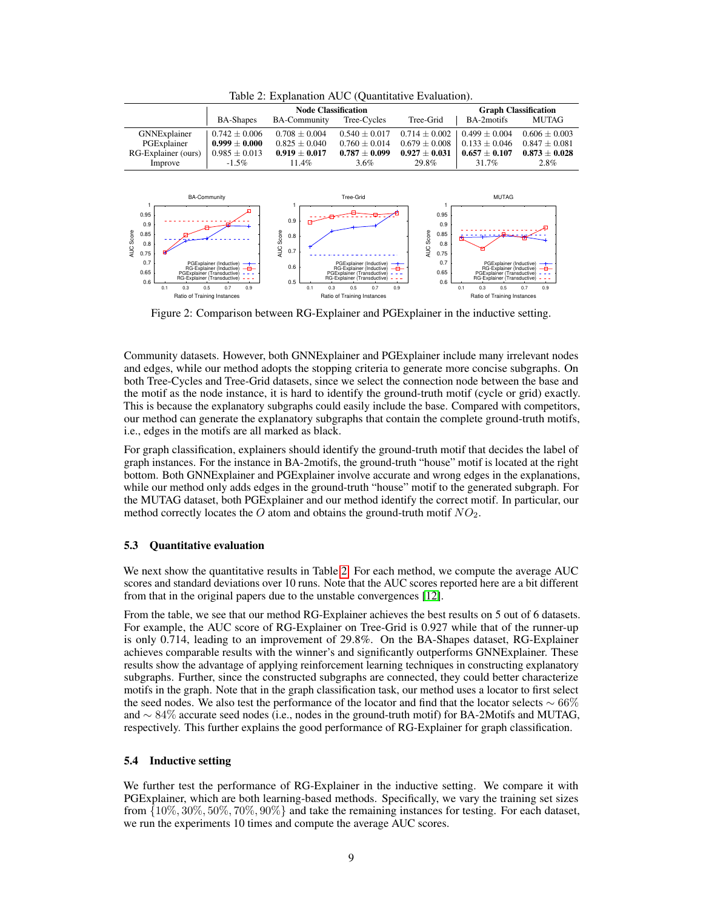<span id="page-8-0"></span>

|                     |                   | <b>Node Classification</b> | <b>Graph Classification</b> |                   |                   |                 |  |  |  |
|---------------------|-------------------|----------------------------|-----------------------------|-------------------|-------------------|-----------------|--|--|--|
|                     | <b>BA-Shapes</b>  | <b>BA-Community</b>        | Tree-Cycles                 | Tree-Grid         | BA-2motifs        | <b>MUTAG</b>    |  |  |  |
| GNNExplainer        | $0.742 + 0.006$   | $0.708 + 0.004$            | $0.540 + 0.017$             | $0.714 \pm 0.002$ | $0.499 \pm 0.004$ | $0.606 + 0.003$ |  |  |  |
| PGExplainer         | $0.999 + 0.000$   | $0.825 + 0.040$            | $0.760 + 0.014$             | $0.679 + 0.008$   | $0.133 + 0.046$   | $0.847 + 0.081$ |  |  |  |
| RG-Explainer (ours) | $0.985 \pm 0.013$ | $0.919 + 0.017$            | $0.787 + 0.099$             | $0.927 + 0.031$   | $0.657 + 0.107$   | $0.873 + 0.028$ |  |  |  |
| Improve             | $-1.5\%$          | 11.4%                      | 3.6%                        | 29.8%             | 31.7%             | 2.8%            |  |  |  |
|                     |                   |                            |                             |                   |                   |                 |  |  |  |

Table 2: Explanation AUC (Quantitative Evaluation).

<span id="page-8-1"></span>

Figure 2: Comparison between RG-Explainer and PGExplainer in the inductive setting.

Community datasets. However, both GNNExplainer and PGExplainer include many irrelevant nodes and edges, while our method adopts the stopping criteria to generate more concise subgraphs. On both Tree-Cycles and Tree-Grid datasets, since we select the connection node between the base and the motif as the node instance, it is hard to identify the ground-truth motif (cycle or grid) exactly. This is because the explanatory subgraphs could easily include the base. Compared with competitors, our method can generate the explanatory subgraphs that contain the complete ground-truth motifs, i.e., edges in the motifs are all marked as black.

For graph classification, explainers should identify the ground-truth motif that decides the label of graph instances. For the instance in BA-2motifs, the ground-truth "house" motif is located at the right bottom. Both GNNExplainer and PGExplainer involve accurate and wrong edges in the explanations, while our method only adds edges in the ground-truth "house" motif to the generated subgraph. For the MUTAG dataset, both PGExplainer and our method identify the correct motif. In particular, our method correctly locates the O atom and obtains the ground-truth motif  $NO<sub>2</sub>$ .

#### 5.3 Quantitative evaluation

We next show the quantitative results in Table [2.](#page-8-0) For each method, we compute the average AUC scores and standard deviations over 10 runs. Note that the AUC scores reported here are a bit different from that in the original papers due to the unstable convergences [\[12\]](#page-9-12).

From the table, we see that our method RG-Explainer achieves the best results on 5 out of 6 datasets. For example, the AUC score of RG-Explainer on Tree-Grid is 0.927 while that of the runner-up is only 0.714, leading to an improvement of 29.8%. On the BA-Shapes dataset, RG-Explainer achieves comparable results with the winner's and significantly outperforms GNNExplainer. These results show the advantage of applying reinforcement learning techniques in constructing explanatory subgraphs. Further, since the constructed subgraphs are connected, they could better characterize motifs in the graph. Note that in the graph classification task, our method uses a locator to first select the seed nodes. We also test the performance of the locator and find that the locator selects  $\sim 66\%$ and ∼ 84% accurate seed nodes (i.e., nodes in the ground-truth motif) for BA-2Motifs and MUTAG, respectively. This further explains the good performance of RG-Explainer for graph classification.

#### 5.4 Inductive setting

We further test the performance of RG-Explainer in the inductive setting. We compare it with PGExplainer, which are both learning-based methods. Specifically, we vary the training set sizes from  $\{10\%, 30\%, 50\%, 70\%, 90\%\}\$  and take the remaining instances for testing. For each dataset, we run the experiments 10 times and compute the average AUC scores.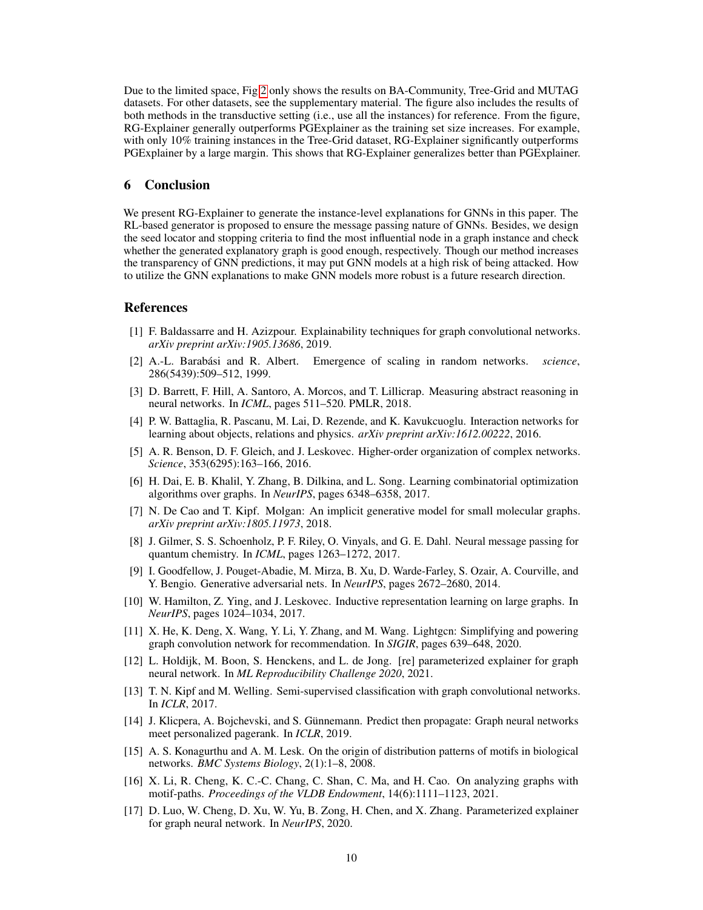Due to the limited space, Fig [2](#page-8-1) only shows the results on BA-Community, Tree-Grid and MUTAG datasets. For other datasets, see the supplementary material. The figure also includes the results of both methods in the transductive setting (i.e., use all the instances) for reference. From the figure, RG-Explainer generally outperforms PGExplainer as the training set size increases. For example, with only 10% training instances in the Tree-Grid dataset, RG-Explainer significantly outperforms PGExplainer by a large margin. This shows that RG-Explainer generalizes better than PGExplainer.

### 6 Conclusion

We present RG-Explainer to generate the instance-level explanations for GNNs in this paper. The RL-based generator is proposed to ensure the message passing nature of GNNs. Besides, we design the seed locator and stopping criteria to find the most influential node in a graph instance and check whether the generated explanatory graph is good enough, respectively. Though our method increases the transparency of GNN predictions, it may put GNN models at a high risk of being attacked. How to utilize the GNN explanations to make GNN models more robust is a future research direction.

#### **References**

- <span id="page-9-11"></span>[1] F. Baldassarre and H. Azizpour. Explainability techniques for graph convolutional networks. *arXiv preprint arXiv:1905.13686*, 2019.
- <span id="page-9-16"></span>[2] A.-L. Barabási and R. Albert. Emergence of scaling in random networks. *science*, 286(5439):509–512, 1999.
- <span id="page-9-2"></span>[3] D. Barrett, F. Hill, A. Santoro, A. Morcos, and T. Lillicrap. Measuring abstract reasoning in neural networks. In *ICML*, pages 511–520. PMLR, 2018.
- <span id="page-9-1"></span>[4] P. W. Battaglia, R. Pascanu, M. Lai, D. Rezende, and K. Kavukcuoglu. Interaction networks for learning about objects, relations and physics. *arXiv preprint arXiv:1612.00222*, 2016.
- <span id="page-9-13"></span>[5] A. R. Benson, D. F. Gleich, and J. Leskovec. Higher-order organization of complex networks. *Science*, 353(6295):163–166, 2016.
- <span id="page-9-10"></span>[6] H. Dai, E. B. Khalil, Y. Zhang, B. Dilkina, and L. Song. Learning combinatorial optimization algorithms over graphs. In *NeurIPS*, pages 6348–6358, 2017.
- <span id="page-9-9"></span>[7] N. De Cao and T. Kipf. Molgan: An implicit generative model for small molecular graphs. *arXiv preprint arXiv:1805.11973*, 2018.
- <span id="page-9-4"></span>[8] J. Gilmer, S. S. Schoenholz, P. F. Riley, O. Vinyals, and G. E. Dahl. Neural message passing for quantum chemistry. In *ICML*, pages 1263–1272, 2017.
- <span id="page-9-8"></span>[9] I. Goodfellow, J. Pouget-Abadie, M. Mirza, B. Xu, D. Warde-Farley, S. Ozair, A. Courville, and Y. Bengio. Generative adversarial nets. In *NeurIPS*, pages 2672–2680, 2014.
- <span id="page-9-0"></span>[10] W. Hamilton, Z. Ying, and J. Leskovec. Inductive representation learning on large graphs. In *NeurIPS*, pages 1024–1034, 2017.
- <span id="page-9-5"></span>[11] X. He, K. Deng, X. Wang, Y. Li, Y. Zhang, and M. Wang. Lightgcn: Simplifying and powering graph convolution network for recommendation. In *SIGIR*, pages 639–648, 2020.
- <span id="page-9-12"></span>[12] L. Holdijk, M. Boon, S. Henckens, and L. de Jong. [re] parameterized explainer for graph neural network. In *ML Reproducibility Challenge 2020*, 2021.
- <span id="page-9-6"></span>[13] T. N. Kipf and M. Welling. Semi-supervised classification with graph convolutional networks. In *ICLR*, 2017.
- <span id="page-9-7"></span>[14] J. Klicpera, A. Bojchevski, and S. Günnemann. Predict then propagate: Graph neural networks meet personalized pagerank. In *ICLR*, 2019.
- <span id="page-9-14"></span>[15] A. S. Konagurthu and A. M. Lesk. On the origin of distribution patterns of motifs in biological networks. *BMC Systems Biology*, 2(1):1–8, 2008.
- <span id="page-9-15"></span>[16] X. Li, R. Cheng, K. C.-C. Chang, C. Shan, C. Ma, and H. Cao. On analyzing graphs with motif-paths. *Proceedings of the VLDB Endowment*, 14(6):1111–1123, 2021.
- <span id="page-9-3"></span>[17] D. Luo, W. Cheng, D. Xu, W. Yu, B. Zong, H. Chen, and X. Zhang. Parameterized explainer for graph neural network. In *NeurIPS*, 2020.